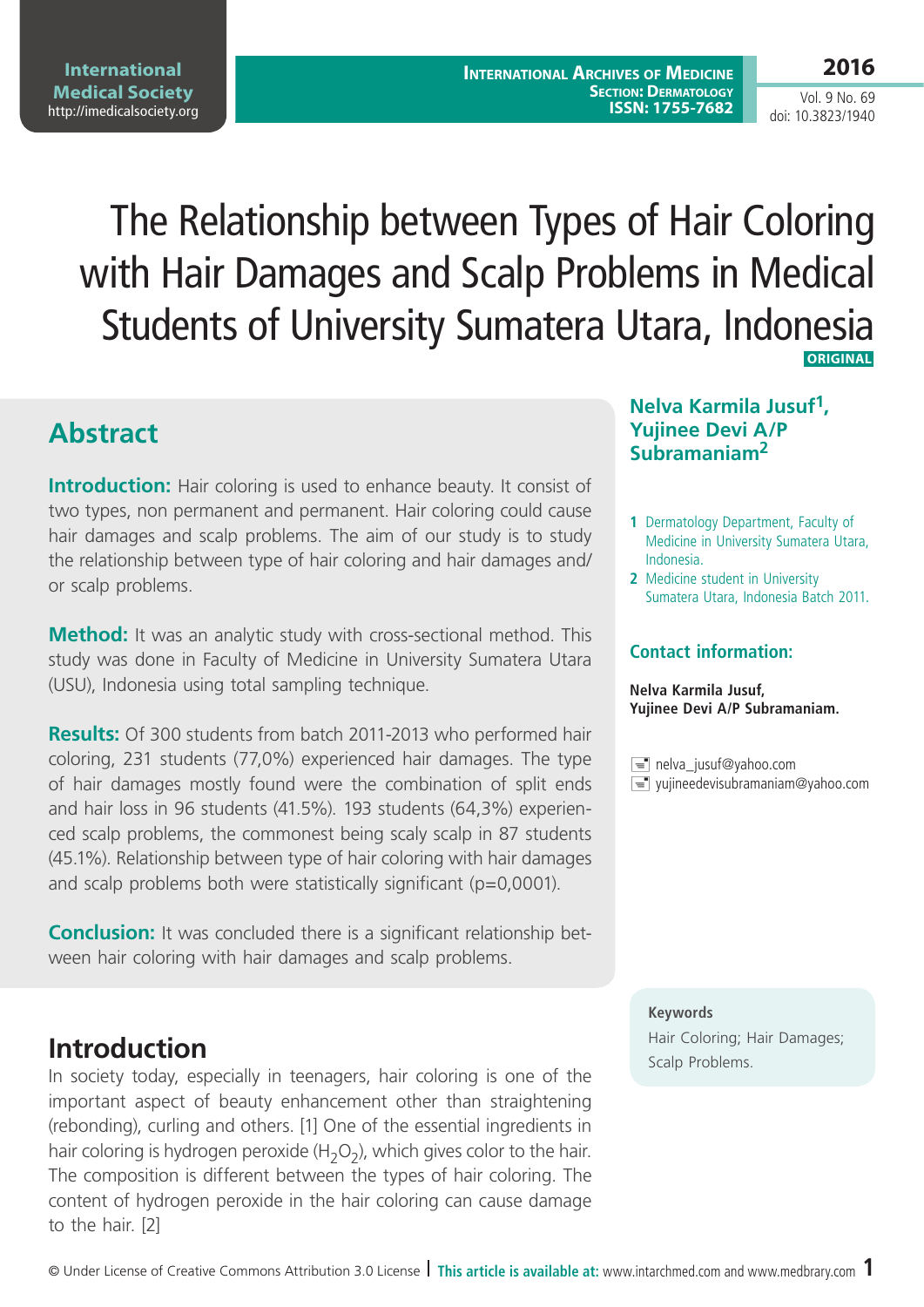Vol. 9 No. 69 doi: 10.3823/1940

# The Relationship between Types of Hair Coloring with Hair Damages and Scalp Problems in Medical Students of University Sumatera Utara, Indonesia  **Original**

**Abstract**

**Introduction:** Hair coloring is used to enhance beauty. It consist of two types, non permanent and permanent. Hair coloring could cause hair damages and scalp problems. The aim of our study is to study the relationship between type of hair coloring and hair damages and/ or scalp problems.

**Method:** It was an analytic study with cross-sectional method. This study was done in Faculty of Medicine in University Sumatera Utara (USU), Indonesia using total sampling technique.

**Results:** Of 300 students from batch 2011-2013 who performed hair coloring, 231 students (77,0%) experienced hair damages. The type of hair damages mostly found were the combination of split ends and hair loss in 96 students (41.5%). 193 students (64,3%) experienced scalp problems, the commonest being scaly scalp in 87 students (45.1%). Relationship between type of hair coloring with hair damages and scalp problems both were statistically significant (p=0,0001).

**Conclusion:** It was concluded there is a significant relationship between hair coloring with hair damages and scalp problems.

# **Introduction**<br>Scalp Problems.

In society today, especially in teenagers, hair coloring is one of the important aspect of beauty enhancement other than straightening (rebonding), curling and others. [1] One of the essential ingredients in hair coloring is hydrogen peroxide  $(H_2O_2)$ , which gives color to the hair. The composition is different between the types of hair coloring. The content of hydrogen peroxide in the hair coloring can cause damage to the hair. [2]

#### **Nelva Karmila Jusuf1, Yujinee Devi A/P Subramaniam2**

- **1** Dermatology Department, Faculty of Medicine in University Sumatera Utara, Indonesia.
- **2** Medicine student in University Sumatera Utara, Indonesia Batch 2011.

#### **Contact information:**

**Nelva Karmila Jusuf, Yujinee Devi A/P Subramaniam.**

 nelva\_jusuf@yahoo.com  $\equiv$  yujineedevisubramaniam@yahoo.com

**Keywords** Hair Coloring; Hair Damages;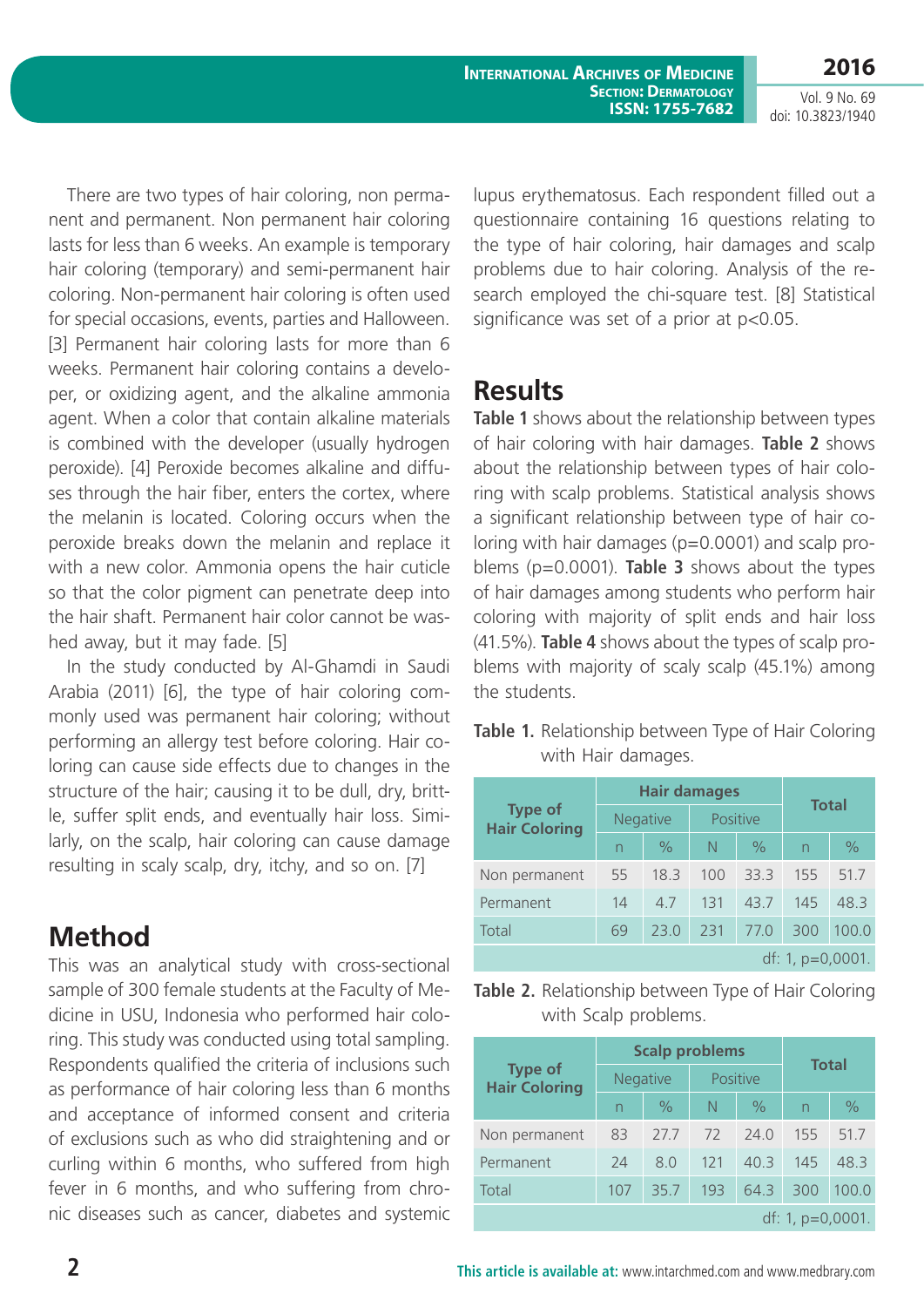**International Archives of Medicine Section: Dermatology ISSN: 1755-7682** **2016**

Vol. 9 No. 69 doi: 10.3823/1940

There are two types of hair coloring, non permanent and permanent. Non permanent hair coloring lasts for less than 6 weeks. An example is temporary hair coloring (temporary) and semi-permanent hair coloring. Non-permanent hair coloring is often used for special occasions, events, parties and Halloween. [3] Permanent hair coloring lasts for more than 6 weeks. Permanent hair coloring contains a developer, or oxidizing agent, and the alkaline ammonia agent. When a color that contain alkaline materials is combined with the developer (usually hydrogen peroxide). [4] Peroxide becomes alkaline and diffuses through the hair fiber, enters the cortex, where the melanin is located. Coloring occurs when the peroxide breaks down the melanin and replace it with a new color. Ammonia opens the hair cuticle so that the color pigment can penetrate deep into the hair shaft. Permanent hair color cannot be washed away, but it may fade. [5]

In the study conducted by Al-Ghamdi in Saudi Arabia (2011) [6], the type of hair coloring commonly used was permanent hair coloring; without performing an allergy test before coloring. Hair coloring can cause side effects due to changes in the structure of the hair; causing it to be dull, dry, brittle, suffer split ends, and eventually hair loss. Similarly, on the scalp, hair coloring can cause damage resulting in scaly scalp, dry, itchy, and so on. [7]

### **Method**

This was an analytical study with cross-sectional sample of 300 female students at the Faculty of Medicine in USU, Indonesia who performed hair coloring. This study was conducted using total sampling. Respondents qualified the criteria of inclusions such as performance of hair coloring less than 6 months and acceptance of informed consent and criteria of exclusions such as who did straightening and or curling within 6 months, who suffered from high fever in 6 months, and who suffering from chronic diseases such as cancer, diabetes and systemic lupus erythematosus. Each respondent filled out a questionnaire containing 16 questions relating to the type of hair coloring, hair damages and scalp problems due to hair coloring. Analysis of the research employed the chi-square test. [8] Statistical significance was set of a prior at p<0.05.

### **Results**

**Table 1** shows about the relationship between types of hair coloring with hair damages. **Table 2** shows about the relationship between types of hair coloring with scalp problems. Statistical analysis shows a significant relationship between type of hair coloring with hair damages (p=0.0001) and scalp problems (p=0.0001). **Table 3** shows about the types of hair damages among students who perform hair coloring with majority of split ends and hair loss (41.5%). **Table 4** shows about the types of scalp problems with majority of scaly scalp (45.1%) among the students.

|  | <b>Table 1.</b> Relationship between Type of Hair Coloring |  |
|--|------------------------------------------------------------|--|
|  | with Hair damages.                                         |  |

|                                        | <b>Hair damages</b>     |               |          |               | <b>Total</b> |               |
|----------------------------------------|-------------------------|---------------|----------|---------------|--------------|---------------|
| <b>Type of</b><br><b>Hair Coloring</b> | Negative                |               | Positive |               |              |               |
|                                        | $\overline{\mathsf{n}}$ | $\frac{0}{0}$ | N        | $\frac{0}{0}$ | n            | $\frac{0}{0}$ |
| Non permanent                          | 55                      | 18.3          | 100      | 33.3          | 155          | 51.7          |
| Permanent                              | 14                      | 4.7           | 131      | 43.7          | 145          | 48.3          |
| Total                                  | 69                      | 23.0          | 231      | 77.0          | 300          | 100.0         |
| df: $1, p=0,0001$ .                    |                         |               |          |               |              |               |

**Table 2.** Relationship between Type of Hair Coloring with Scalp problems.

|                                        | <b>Scalp problems</b> |               |          |               | <b>Total</b> |               |
|----------------------------------------|-----------------------|---------------|----------|---------------|--------------|---------------|
| <b>Type of</b><br><b>Hair Coloring</b> | <b>Negative</b>       |               | Positive |               |              |               |
|                                        | $\overline{n}$        | $\frac{0}{0}$ | N        | $\frac{0}{0}$ | n            | $\frac{0}{0}$ |
| Non permanent                          | 83                    | 27.7          | 72       | 74.0          | 155          | 51.7          |
| Permanent                              | 24                    | 8.0           | 121      | 40.3          | 145          | 48.3          |
| Total                                  | 107                   | 35.7          | 193      | 64.3          | 300          | 100.0         |
| df: $1, p=0,0001$ .                    |                       |               |          |               |              |               |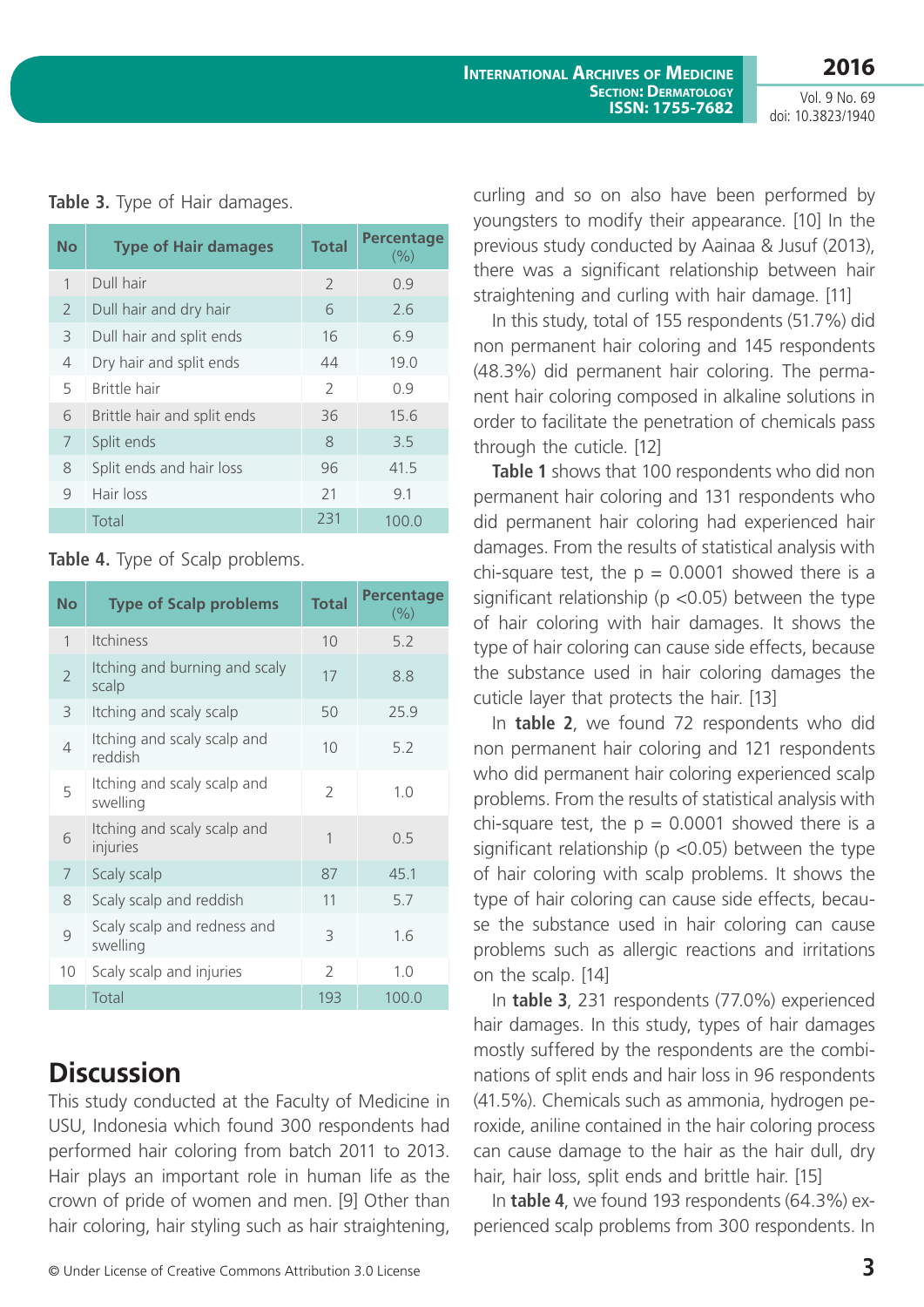Vol. 9 No. 69 doi: 10.3823/1940

**2016**

**Table 3.** Type of Hair damages.

| No            | <b>Type of Hair damages</b> | <b>Total</b>   | <b>Percentage</b><br>(%) |
|---------------|-----------------------------|----------------|--------------------------|
| 1             | Dull hair                   | $\overline{2}$ | 0.9                      |
| $\mathcal{P}$ | Dull hair and dry hair      | 6              | 2.6                      |
| 3             | Dull hair and split ends    | 16             | 6.9                      |
| 4             | Dry hair and split ends     | 44             | 19.0                     |
| 5             | Brittle hair                | $\mathcal{P}$  | 0.9                      |
| 6             | Brittle hair and split ends | 36             | 15.6                     |
| 7             | Split ends                  | 8              | 3.5                      |
| 8             | Split ends and hair loss    | 96             | 41.5                     |
| $\mathsf{Q}$  | Hair loss                   | 21             | 9.1                      |
|               | Total                       | 231            | 100.0                    |

**Table 4.** Type of Scalp problems.

| <b>No</b>      | <b>Type of Scalp problems</b>           | <b>Total</b> | <b>Percentage</b><br>(9/0) |
|----------------|-----------------------------------------|--------------|----------------------------|
| $\mathbf{1}$   | <b>Itchiness</b>                        | 10           | 5.2                        |
| $\overline{2}$ | Itching and burning and scaly<br>scalp  | 17           | 8.8                        |
| 3              | Itching and scaly scalp                 | 50           | 25.9                       |
| $\overline{4}$ | Itching and scaly scalp and<br>reddish  | 10           | 5.2                        |
| 5              | Itching and scaly scalp and<br>swelling | 2            | 1.0                        |
| 6              | Itching and scaly scalp and<br>injuries | 1            | 0.5                        |
| 7              | Scaly scalp                             | 87           | 45.1                       |
| 8              | Scaly scalp and reddish                 | 11           | 5.7                        |
| 9              | Scaly scalp and redness and<br>swelling | 3            | 1.6                        |
| 10             | Scaly scalp and injuries                | 2            | 1.0                        |
|                | Total                                   | 193          | 100.0                      |

### **Discussion**

This study conducted at the Faculty of Medicine in USU, Indonesia which found 300 respondents had performed hair coloring from batch 2011 to 2013. Hair plays an important role in human life as the crown of pride of women and men. [9] Other than hair coloring, hair styling such as hair straightening, curling and so on also have been performed by youngsters to modify their appearance. [10] In the previous study conducted by Aainaa & Jusuf (2013), there was a significant relationship between hair straightening and curling with hair damage. [11]

In this study, total of 155 respondents (51.7%) did non permanent hair coloring and 145 respondents (48.3%) did permanent hair coloring. The permanent hair coloring composed in alkaline solutions in order to facilitate the penetration of chemicals pass through the cuticle. [12]

**Table 1** shows that 100 respondents who did non permanent hair coloring and 131 respondents who did permanent hair coloring had experienced hair damages. From the results of statistical analysis with chi-square test, the  $p = 0.0001$  showed there is a significant relationship ( $p$  <0.05) between the type of hair coloring with hair damages. It shows the type of hair coloring can cause side effects, because the substance used in hair coloring damages the cuticle layer that protects the hair. [13]

In **table 2**, we found 72 respondents who did non permanent hair coloring and 121 respondents who did permanent hair coloring experienced scalp problems. From the results of statistical analysis with chi-square test, the  $p = 0.0001$  showed there is a significant relationship ( $p$  <0.05) between the type of hair coloring with scalp problems. It shows the type of hair coloring can cause side effects, because the substance used in hair coloring can cause problems such as allergic reactions and irritations on the scalp. [14]

In **table 3**, 231 respondents (77.0%) experienced hair damages. In this study, types of hair damages mostly suffered by the respondents are the combinations of split ends and hair loss in 96 respondents (41.5%). Chemicals such as ammonia, hydrogen peroxide, aniline contained in the hair coloring process can cause damage to the hair as the hair dull, dry hair, hair loss, split ends and brittle hair. [15]

In **table 4**, we found 193 respondents (64.3%) experienced scalp problems from 300 respondents. In